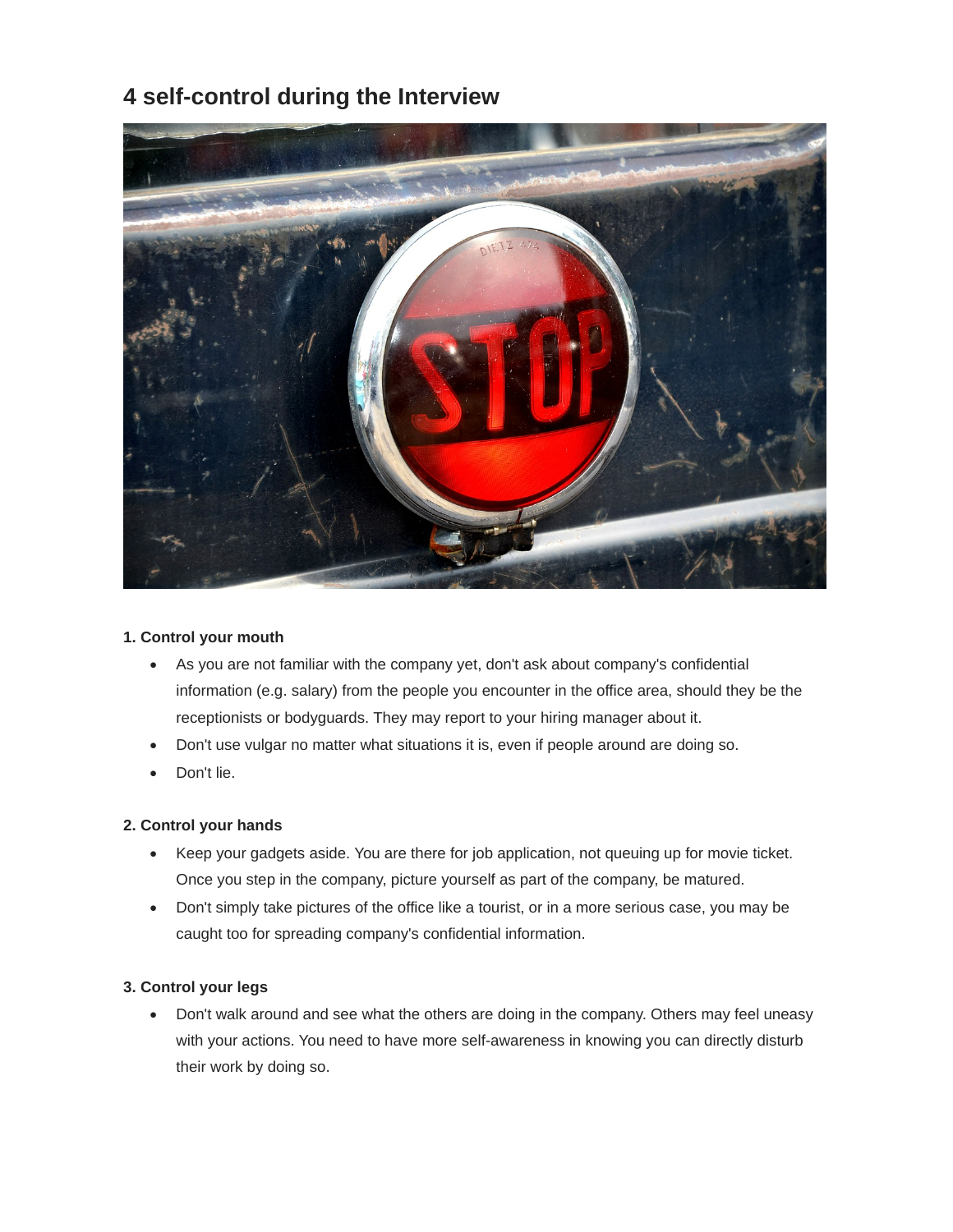# **4 self-control during the Interview**



## **1. Control your mouth**

- As you are not familiar with the company yet, don't ask about company's confidential information (e.g. salary) from the people you encounter in the office area, should they be the receptionists or bodyguards. They may report to your hiring manager about it.
- Don't use vulgar no matter what situations it is, even if people around are doing so.
- Don't lie.

## **2. Control your hands**

- Keep your gadgets aside. You are there for job application, not queuing up for movie ticket. Once you step in the company, picture yourself as part of the company, be matured.
- Don't simply take pictures of the office like a tourist, or in a more serious case, you may be caught too for spreading company's confidential information.

## **3. Control your legs**

 Don't walk around and see what the others are doing in the company. Others may feel uneasy with your actions. You need to have more self-awareness in knowing you can directly disturb their work by doing so.